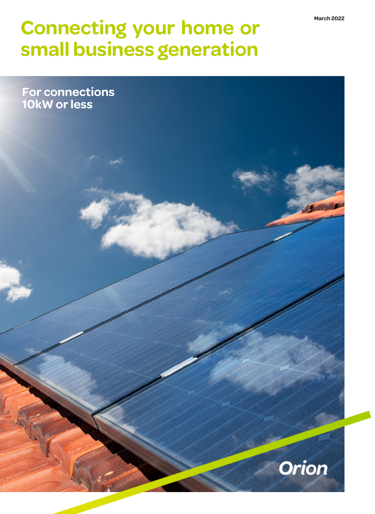# **Connecting your home or small business generation**

**For connections 10kW or less**

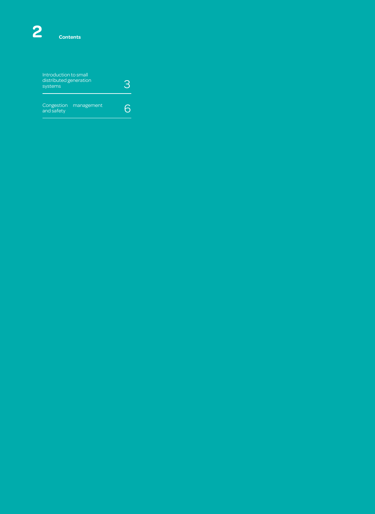| Introduction to small<br>distributed generation<br>systems |            | 6 |
|------------------------------------------------------------|------------|---|
| Congestion<br>and safety                                   | management | h |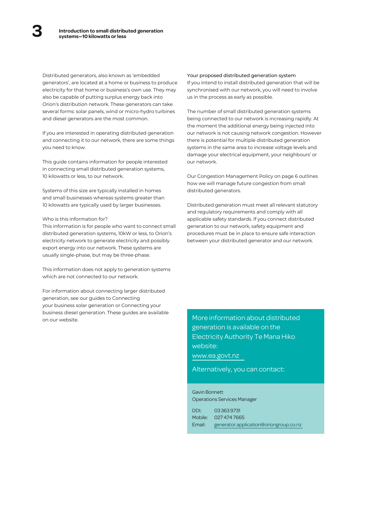Distributed generators, also known as 'embedded generators', are located at a home or business to produce electricity for that home or business's own use. They may also be capable of putting surplus energy back into Orion's distribution network. These generators can take several forms: solar panels, wind or micro-hydro turbines and diesel generators are the most common.

If you are interested in operating distributed generation and connecting it to our network, there are some things you need to know.

This guide contains information for people interested in connecting small distributed generation systems, 10 kilowatts or less, to our network.

Systems of this size are typically installed in homes and small businesses whereas systems greater than 10 kilowatts are typically used by larger businesses.

# Who is this information for?

This information is for people who want to connect small distributed generation systems, 10kW or less, to Orion's electricity network to generate electricity and possibly export energy into our network. These systems are usually single-phase, but may be three-phase.

This information does not apply to generation systems which are not connected to our network.

For information about connecting larger distributed generation, see our guides to Connecting your business solar generation or Connecting your business diesel generation. These guides are available on our website.

#### Your proposed distributed generation system

If you intend to install distributed generation that will be synchronised with our network, you will need to involve us in the process as early as possible.

The number of small distributed generation systems being connected to our network is increasing rapidly. At the moment the additional energy being injected into our network is not causing network congestion. However there is potential for multiple distributed generation systems in the same area to increase voltage levels and damage your electrical equipment, your neighbours' or our network.

Our Congestion Management Policy on page 6 outlines how we will manage future congestion from small distributed generators.

Distributed generation must meet all relevant statutory and regulatory requirements and comply with all applicable safety standards. If you connect distributed generation to our network, safety equipment and procedures must be in place to ensure safe interaction between your distributed generator and our network.

More information about distributed generation is available on the Electricity Authority Te Mana Hiko website: [www.ea.govt.nz](https://www.ea.govt.nz/)

Alternatively, you can contact:

# Gavin Bonnett Operations Services Manager

| DDI: | 033639731                                     |
|------|-----------------------------------------------|
|      | Mobile: 027 474 7665                          |
|      | Email: generator.application@oriongroup.co.nz |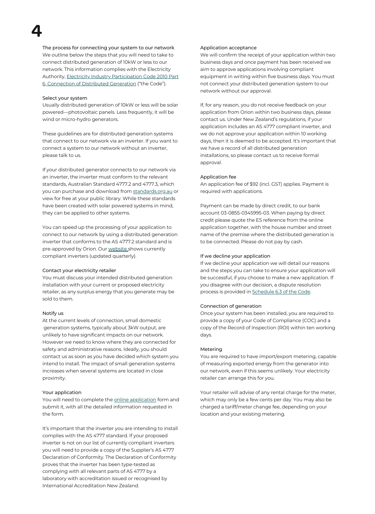The process for connecting your system to our network We outline below the steps that you will need to take to connect distributed generation of 10kW or less to our network. This information complies with the Electricity Authority, Electricity Industry [Participation](https://www.ea.govt.nz/code-and-compliance/the-code#e4730) Code 2010 Part 6, Connection of Distributed Generation ("the Code").

# Select your system

**4**

Usually distributed generation of 10kW or less will be solar powered—photovoltaic panels. Less frequently, it will be wind or micro-hydro generators.

These guidelines are for distributed generation systems that connect to our network via an inverter. If you want to connect a system to our network without an inverter, please talk to us.

If your distributed generator connects to our network via an inverter, the inverter must conform to the relevant standards, Australian Standard 4777.2 and 4777.3, which you can purchase and download from [standards.org.au](https://www.standards.org.au/) or view for free at your public library. While these standards have been created with solar powered systems in mind, they can be applied to other systems.

You can speed up the processing of your application to connect to our network by using a distributed generation inverter that conforms to the AS 4777.2 standard and is pre-approved by Orion. Our [website](https://www.oriongroup.co.nz/customers/connecting-your-solar-or-diesel-generation/) [s](https://www.oriongroup.co.nz/customers/connecting-your-solar-or-diesel-generation/)hows currently compliant inverters (updated quarterly).

#### Contact your electricity retailer

You must discuss your intended distributed generation installation with your current or proposed electricity retailer, as any surplus energy that you generate may be sold to them.

# Notify us

At the current levels of connection, small domestic generation systems, typically about 3kW output, are unlikely to have significant impacts on our network. However we need to know where they are connected for safety and administrative reasons. Ideally, you should contact us as soon as you have decided which system you intend to install. The impact of small generation systems increases when several systems are located in close proximity.

#### Your application

You will need to complete the online [application](https://online.oriongroup.co.nz/connectionservices/ConnectionType.aspx) form and submit it, with all the detailed information requested in the form.

It's important that the inverter you are intending to install complies with the AS 4777 standard. If your proposed inverter is not on our list of currently compliant inverters you will need to provide a copy of the Supplier's AS 4777 Declaration of Conformity. The Declaration of Conformity proves that the inverter has been type-tested as complying with all relevant parts of AS 4777 by a laboratory with accreditation issued or recognised by International Accreditation New Zealand.

# Application acceptance

We will confirm the receipt of your application within two business days and once payment has been received we aim to approve applications involving compliant equipment in writing within five business days. You must not connect your distributed generation system to our network without our approval.

If, for any reason, you do not receive feedback on your application from Orion within two business days, please contact us. Under New Zealand's regulations, if your application includes an AS 4777 compliant inverter, and we do not approve your application within 10 working days, then it is deemed to be accepted. It's important that we have a record of all distributed generation installations, so please contact us to receive formal approval.

#### Application fee

An application fee of \$92 (incl. GST) applies. Payment is required with applications.

Payment can be made by direct credit, to our bank account 03-0855-0345995-03. When paying by direct credit please quote the ES reference from the online application together, with the house number and street name of the premise where the distributed generation is to be connected. Please do not pay by cash.

### If we decline your application

If we decline your application we will detail our reasons and the steps you can take to ensure your application will be successful, if you choose to make a new application. If you disagree with our decision, a dispute resolution process is provided in [Schedule](https://www.ea.govt.nz/code-and-compliance/the-code#e4730) 6.3 of the Code.

#### Connection of generation

Once your system has been installed, you are required to provide a copy of your Code of Compliance (COC) and a copy of the Record of Inspection (ROI) within ten working days.

#### Metering

You are required to have import/export metering, capable of measuring exported energy from the generator into our network, even if this seems unlikely. Your electricity retailer can arrange this for you.

Your retailer will advise of any rental charge for the meter, which may only be a few cents per day. You may also be charged a tariff/meter change fee, depending on your location and your existing metering.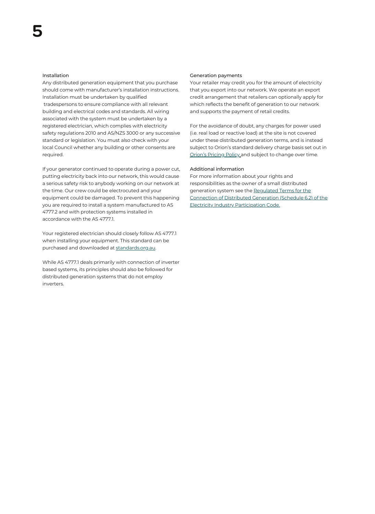#### Installation

Any distributed generation equipment that you purchase should come with manufacturer's installation instructions. Installation must be undertaken by qualified tradespersons to ensure compliance with all relevant building and electrical codes and standards. All wiring associated with the system must be undertaken by a registered electrician, which complies with electricity safety regulations 2010 and AS/NZS 3000 or any successive standard or legislation. You must also check with your local Council whether any building or other consents are required.

If your generator continued to operate during a power cut, putting electricity back into our network, this would cause a serious safety risk to anybody working on our network at the time. Our crew could be electrocuted and your equipment could be damaged. To prevent this happening you are required to install a system manufactured to AS 4777.2 and with protection systems installed in accordance with the AS 4777.1.

Your registered electrician should closely follow AS 4777.1 when installing your equipment. This standard can be purchased and downloaded at [standards.org.au.](https://www.standards.org.au/)

While AS 4777.1 deals primarily with connection of inverter based systems, its principles should also be followed for distributed generation systems that do not employ inverters.

#### Generation payments

Your retailer may credit you for the amount of electricity that you export into our network. We operate an export credit arrangement that retailers can optionally apply for which reflects the benefit of generation to our network and supports the payment of retail credits.

For the avoidance of doubt, any charges for power used (i.e. real load or reactive load) at the site is not covered under these distributed generation terms, and is instead subject to Orion's standard delivery charge basis set out in **Orion's [Pricing](https://www.oriongroup.co.nz/assets/Company/Corporate-publications/PricingPolicy.pdf) Polic[y](https://www.oriongroup.co.nz/assets/Company/Corporate-publications/PricingPolicy.pdf) and subject to change over time.** 

#### Additional information

For more information about your rights and responsibilities as the owner of a small distributed generation system see the Regulated Terms for the Connection of Distributed Generation (Schedule 6.2) of the Electricity Industry [Participation](https://www.ea.govt.nz/code-and-compliance/the-code#e4730) Code.